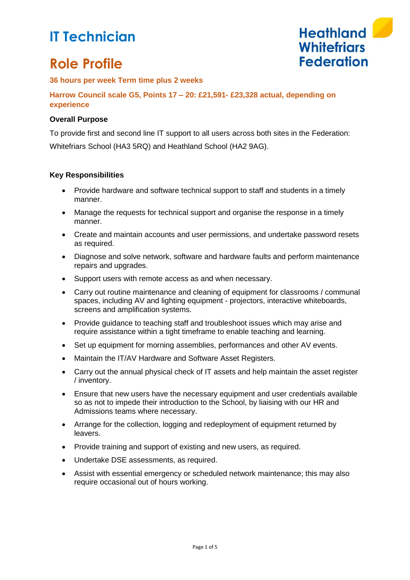## **Role Profile**

### **36 hours per week Term time plus 2 weeks**

**Harrow Council scale G5, Points 17 – 20: £21,591- £23,328 actual, depending on experience**

### **Overall Purpose**

To provide first and second line IT support to all users across both sites in the Federation:

Whitefriars School (HA3 5RQ) and Heathland School (HA2 9AG).

### **Key Responsibilities**

- Provide hardware and software technical support to staff and students in a timely manner.
- Manage the requests for technical support and organise the response in a timely manner.
- Create and maintain accounts and user permissions, and undertake password resets as required.
- Diagnose and solve network, software and hardware faults and perform maintenance repairs and upgrades.
- Support users with remote access as and when necessary.
- Carry out routine maintenance and cleaning of equipment for classrooms / communal spaces, including AV and lighting equipment - projectors, interactive whiteboards, screens and amplification systems.
- Provide guidance to teaching staff and troubleshoot issues which may arise and require assistance within a tight timeframe to enable teaching and learning.
- Set up equipment for morning assemblies, performances and other AV events.
- Maintain the IT/AV Hardware and Software Asset Registers.
- Carry out the annual physical check of IT assets and help maintain the asset register / inventory.
- Ensure that new users have the necessary equipment and user credentials available so as not to impede their introduction to the School, by liaising with our HR and Admissions teams where necessary.
- Arrange for the collection, logging and redeployment of equipment returned by leavers.
- Provide training and support of existing and new users, as required.
- Undertake DSE assessments, as required.
- Assist with essential emergency or scheduled network maintenance; this may also require occasional out of hours working.

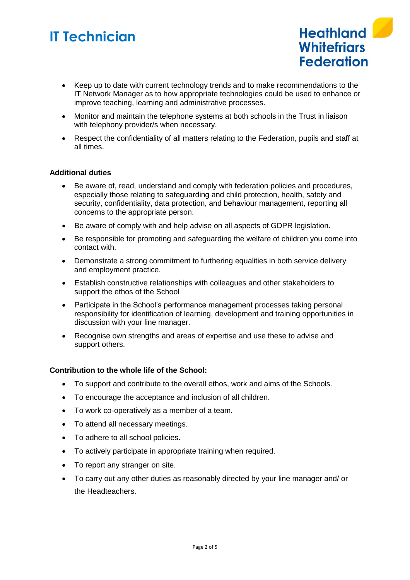• Keep up to date with current technology trends and to make recommendations to the IT Network Manager as to how appropriate technologies could be used to enhance or improve teaching, learning and administrative processes.

**Heathland Whitefriars** 

**Federation** 

- Monitor and maintain the telephone systems at both schools in the Trust in liaison with telephony provider/s when necessary.
- Respect the confidentiality of all matters relating to the Federation, pupils and staff at all times.

#### **Additional duties**

- Be aware of, read, understand and comply with federation policies and procedures, especially those relating to safeguarding and child protection, health, safety and security, confidentiality, data protection, and behaviour management, reporting all concerns to the appropriate person.
- Be aware of comply with and help advise on all aspects of GDPR legislation.
- Be responsible for promoting and safeguarding the welfare of children you come into contact with.
- Demonstrate a strong commitment to furthering equalities in both service delivery and employment practice.
- Establish constructive relationships with colleagues and other stakeholders to support the ethos of the School
- Participate in the School's performance management processes taking personal responsibility for identification of learning, development and training opportunities in discussion with your line manager.
- Recognise own strengths and areas of expertise and use these to advise and support others.

#### **Contribution to the whole life of the School:**

- To support and contribute to the overall ethos, work and aims of the Schools.
- To encourage the acceptance and inclusion of all children.
- To work co-operatively as a member of a team.
- To attend all necessary meetings.
- To adhere to all school policies.
- To actively participate in appropriate training when required.
- To report any stranger on site.
- To carry out any other duties as reasonably directed by your line manager and/ or the Headteachers.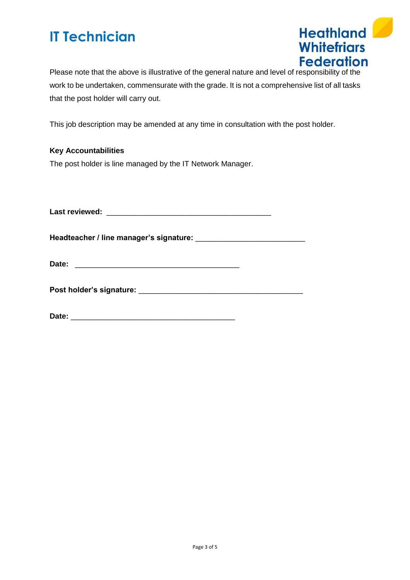

Please note that the above is illustrative of the general nature and level of responsibility of the work to be undertaken, commensurate with the grade. It is not a comprehensive list of all tasks that the post holder will carry out.

This job description may be amended at any time in consultation with the post holder.

### **Key Accountabilities**

The post holder is line managed by the IT Network Manager.

**Last reviewed:** \_\_\_\_\_\_\_\_\_\_\_\_\_\_\_\_\_\_\_\_\_\_\_\_\_\_\_\_\_\_\_\_\_\_\_\_\_\_\_

**Headteacher / line manager's signature:** \_\_\_\_\_\_\_\_\_\_\_\_\_\_\_\_\_\_\_\_\_\_\_\_\_\_

**Post holder's signature:** \_\_\_\_\_\_\_\_\_\_\_\_\_\_\_\_\_\_\_\_\_\_\_\_\_\_\_\_\_\_\_\_\_\_\_\_\_\_\_

**Date:** \_\_\_\_\_\_\_\_\_\_\_\_\_\_\_\_\_\_\_\_\_\_\_\_\_\_\_\_\_\_\_\_\_\_\_\_\_\_\_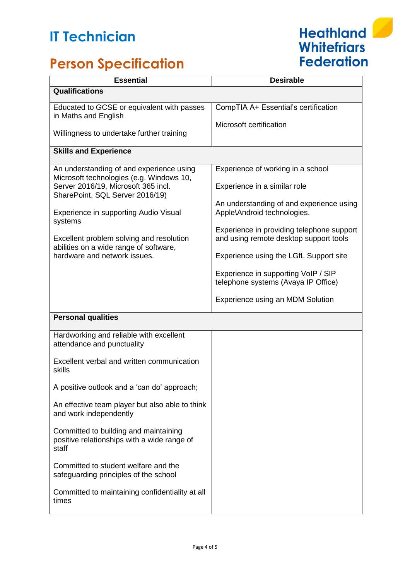## **Person Specification**



| <b>Essential</b>                                                                              | <b>Desirable</b>                                                                    |  |
|-----------------------------------------------------------------------------------------------|-------------------------------------------------------------------------------------|--|
| Qualifications                                                                                |                                                                                     |  |
| Educated to GCSE or equivalent with passes                                                    | CompTIA A+ Essential's certification                                                |  |
| in Maths and English                                                                          | Microsoft certification                                                             |  |
| Willingness to undertake further training                                                     |                                                                                     |  |
| <b>Skills and Experience</b>                                                                  |                                                                                     |  |
| An understanding of and experience using<br>Microsoft technologies (e.g. Windows 10,          | Experience of working in a school                                                   |  |
| Server 2016/19, Microsoft 365 incl.<br>SharePoint, SQL Server 2016/19)                        | Experience in a similar role                                                        |  |
| Experience in supporting Audio Visual                                                         | An understanding of and experience using<br>Apple\Android technologies.             |  |
| systems                                                                                       | Experience in providing telephone support<br>and using remote desktop support tools |  |
| Excellent problem solving and resolution<br>abilities on a wide range of software,            |                                                                                     |  |
| hardware and network issues.                                                                  | Experience using the LGfL Support site                                              |  |
|                                                                                               | Experience in supporting VoIP / SIP<br>telephone systems (Avaya IP Office)          |  |
|                                                                                               | Experience using an MDM Solution                                                    |  |
| <b>Personal qualities</b>                                                                     |                                                                                     |  |
| Hardworking and reliable with excellent<br>attendance and punctuality                         |                                                                                     |  |
| Excellent verbal and written communication<br>skills                                          |                                                                                     |  |
| A positive outlook and a 'can do' approach;                                                   |                                                                                     |  |
| An effective team player but also able to think<br>and work independently                     |                                                                                     |  |
| Committed to building and maintaining<br>positive relationships with a wide range of<br>staff |                                                                                     |  |
| Committed to student welfare and the<br>safeguarding principles of the school                 |                                                                                     |  |
| Committed to maintaining confidentiality at all<br>times                                      |                                                                                     |  |